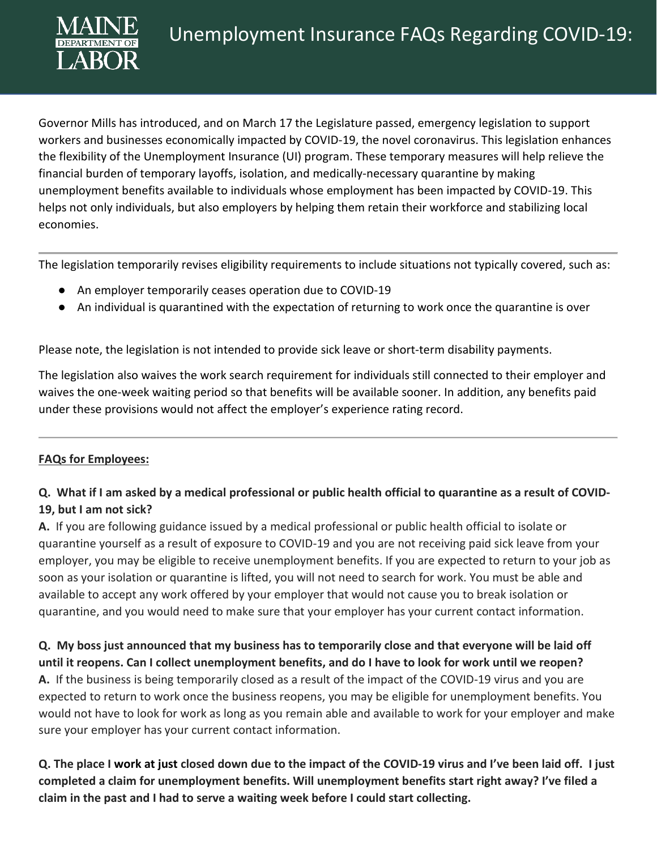

Governor Mills has introduced, and on March 17 the Legislature passed, emergency legislation to support workers and businesses economically impacted by COVID-19, the novel coronavirus. This legislation enhances the flexibility of the Unemployment Insurance (UI) program. These temporary measures will help relieve the financial burden of temporary layoffs, isolation, and medically-necessary quarantine by making unemployment benefits available to individuals whose employment has been impacted by COVID-19. This helps not only individuals, but also employers by helping them retain their workforce and stabilizing local economies.

The legislation temporarily revises eligibility requirements to include situations not typically covered, such as:

- An employer temporarily ceases operation due to COVID-19
- An individual is quarantined with the expectation of returning to work once the quarantine is over

Please note, the legislation is not intended to provide sick leave or short-term disability payments.

The legislation also waives the work search requirement for individuals still connected to their employer and waives the one-week waiting period so that benefits will be available sooner. In addition, any benefits paid under these provisions would not affect the employer's experience rating record.

## **FAQs for Employees:**

# **Q. What if I am asked by a medical professional or public health official to quarantine as a result of COVID-19, but I am not sick?**

**A.** If you are following guidance issued by a medical professional or public health official to isolate or quarantine yourself as a result of exposure to COVID-19 and you are not receiving paid sick leave from your employer, you may be eligible to receive unemployment benefits. If you are expected to return to your job as soon as your isolation or quarantine is lifted, you will not need to search for work. You must be able and available to accept any work offered by your employer that would not cause you to break isolation or quarantine, and you would need to make sure that your employer has your current contact information.

**Q. My boss just announced that my business has to temporarily close and that everyone will be laid off until it reopens. Can I collect unemployment benefits, and do I have to look for work until we reopen?**

**A.** If the business is being temporarily closed as a result of the impact of the COVID-19 virus and you are expected to return to work once the business reopens, you may be eligible for unemployment benefits. You would not have to look for work as long as you remain able and available to work for your employer and make sure your employer has your current contact information.

**Q. The place I work at just closed down due to the impact of the COVID-19 virus and I've been laid off. I just completed a claim for unemployment benefits. Will unemployment benefits start right away? I've filed a claim in the past and I had to serve a waiting week before I could start collecting.**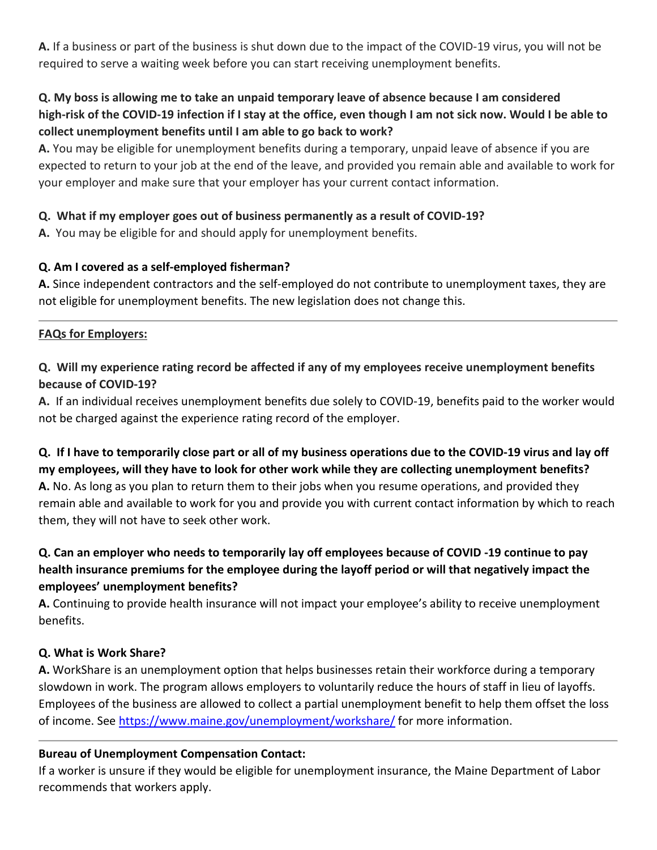**A.** If a business or part of the business is shut down due to the impact of the COVID-19 virus, you will not be required to serve a waiting week before you can start receiving unemployment benefits.

## **Q. My boss is allowing me to take an unpaid temporary leave of absence because I am considered high-risk of the COVID-19 infection if I stay at the office, even though I am not sick now. Would I be able to collect unemployment benefits until I am able to go back to work?**

**A.** You may be eligible for unemployment benefits during a temporary, unpaid leave of absence if you are expected to return to your job at the end of the leave, and provided you remain able and available to work for your employer and make sure that your employer has your current contact information.

#### **Q. What if my employer goes out of business permanently as a result of COVID-19?**

**A.** You may be eligible for and should apply for unemployment benefits.

#### **Q. Am I covered as a self-employed fisherman?**

**A.** Since independent contractors and the self-employed do not contribute to unemployment taxes, they are not eligible for unemployment benefits. The new legislation does not change this.

## **FAQs for Employers:**

## **Q. Will my experience rating record be affected if any of my employees receive unemployment benefits because of COVID-19?**

**A.** If an individual receives unemployment benefits due solely to COVID-19, benefits paid to the worker would not be charged against the experience rating record of the employer.

**Q. If I have to temporarily close part or all of my business operations due to the COVID-19 virus and lay off my employees, will they have to look for other work while they are collecting unemployment benefits? A.** No. As long as you plan to return them to their jobs when you resume operations, and provided they remain able and available to work for you and provide you with current contact information by which to reach them, they will not have to seek other work.

# **Q. Can an employer who needs to temporarily lay off employees because of COVID -19 continue to pay health insurance premiums for the employee during the layoff period or will that negatively impact the employees' unemployment benefits?**

**A.** Continuing to provide health insurance will not impact your employee's ability to receive unemployment benefits.

## **Q. What is Work Share?**

**A.** WorkShare is an unemployment option that helps businesses retain their workforce during a temporary slowdown in work. The program allows employers to voluntarily reduce the hours of staff in lieu of layoffs. Employees of the business are allowed to collect a partial unemployment benefit to help them offset the loss of income. See<https://www.maine.gov/unemployment/workshare/> for more information.

## **Bureau of Unemployment Compensation Contact:**

If a worker is unsure if they would be eligible for unemployment insurance, the Maine Department of Labor recommends that workers apply.